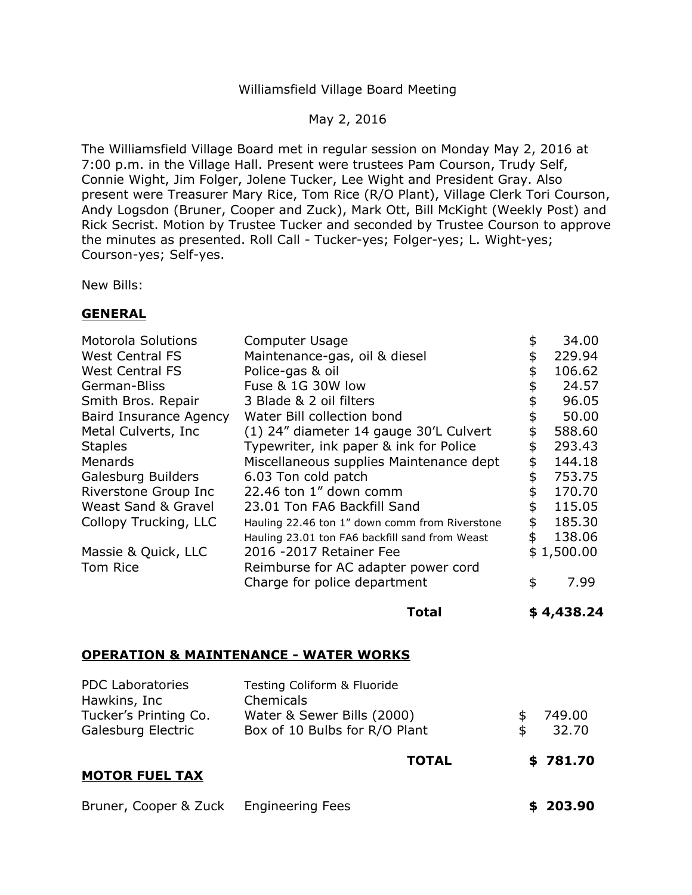## Williamsfield Village Board Meeting

May 2, 2016

The Williamsfield Village Board met in regular session on Monday May 2, 2016 at 7:00 p.m. in the Village Hall. Present were trustees Pam Courson, Trudy Self, Connie Wight, Jim Folger, Jolene Tucker, Lee Wight and President Gray. Also present were Treasurer Mary Rice, Tom Rice (R/O Plant), Village Clerk Tori Courson, Andy Logsdon (Bruner, Cooper and Zuck), Mark Ott, Bill McKight (Weekly Post) and Rick Secrist. Motion by Trustee Tucker and seconded by Trustee Courson to approve the minutes as presented. Roll Call - Tucker-yes; Folger-yes; L. Wight-yes; Courson-yes; Self-yes.

New Bills:

## **GENERAL**

| <b>Motorola Solutions</b> | Computer Usage                                 | \$<br>34.00  |
|---------------------------|------------------------------------------------|--------------|
| <b>West Central FS</b>    | Maintenance-gas, oil & diesel                  | \$<br>229.94 |
| <b>West Central FS</b>    | Police-gas & oil                               | \$<br>106.62 |
| German-Bliss              | Fuse & 1G 30W low                              | \$<br>24.57  |
| Smith Bros. Repair        | 3 Blade & 2 oil filters                        | \$<br>96.05  |
| Baird Insurance Agency    | Water Bill collection bond                     | \$<br>50.00  |
| Metal Culverts, Inc.      | (1) 24" diameter 14 gauge 30'L Culvert         | \$<br>588.60 |
| <b>Staples</b>            | Typewriter, ink paper & ink for Police         | \$<br>293.43 |
| <b>Menards</b>            | Miscellaneous supplies Maintenance dept        | \$<br>144.18 |
| Galesburg Builders        | 6.03 Ton cold patch                            | \$<br>753.75 |
| Riverstone Group Inc      | 22.46 ton 1" down comm                         | \$<br>170.70 |
| Weast Sand & Gravel       | 23.01 Ton FA6 Backfill Sand                    | \$<br>115.05 |
| Collopy Trucking, LLC     | Hauling 22.46 ton 1" down comm from Riverstone | \$<br>185.30 |
|                           | Hauling 23.01 ton FA6 backfill sand from Weast | \$<br>138.06 |
| Massie & Quick, LLC       | 2016 -2017 Retainer Fee                        | \$1,500.00   |
| Tom Rice                  | Reimburse for AC adapter power cord            |              |
|                           | Charge for police department                   | \$<br>7.99   |
|                           |                                                |              |

**Total \$ [4,438.24](https://4,438.24)** 

## **OPERATION & MAINTENANCE - WATER WORKS**

| <b>PDC Laboratories</b><br>Hawkins, Inc | Testing Coliform & Fluoride<br>Chemicals |              |
|-----------------------------------------|------------------------------------------|--------------|
| Tucker's Printing Co.                   | Water & Sewer Bills (2000)               | \$<br>749.00 |
| Galesburg Electric                      | Box of 10 Bulbs for R/O Plant            | \$<br>32.70  |
|                                         | <b>TOTAL</b>                             | \$781.70     |
| <b>MOTOR FUEL TAX</b>                   |                                          |              |
| Bruner, Cooper & Zuck                   | <b>Engineering Fees</b>                  | 203.90       |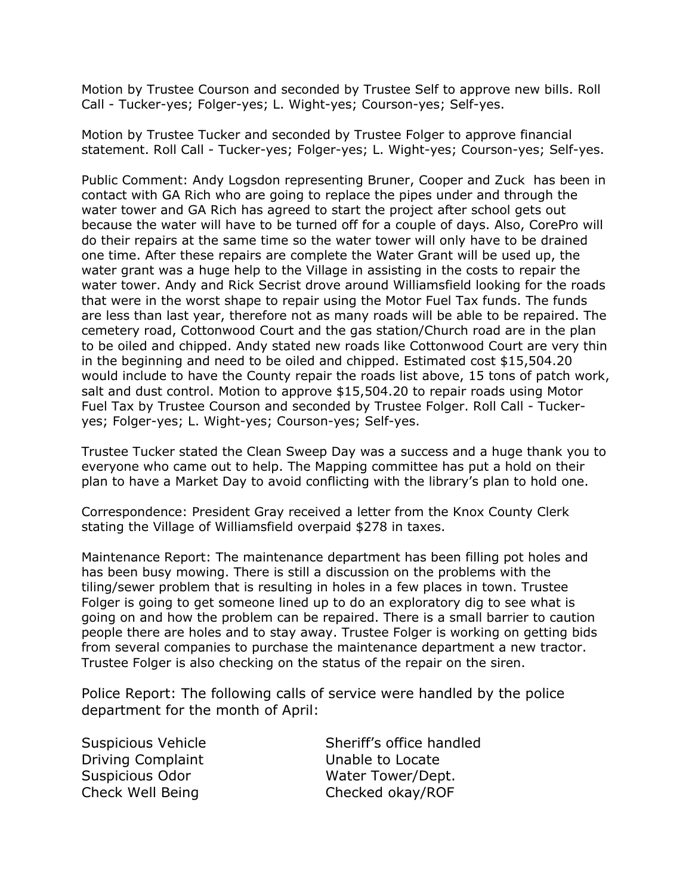Motion by Trustee Courson and seconded by Trustee Self to approve new bills. Roll Call - Tucker-yes; Folger-yes; L. Wight-yes; Courson-yes; Self-yes.

 Motion by Trustee Tucker and seconded by Trustee Folger to approve financial statement. Roll Call - Tucker-yes; Folger-yes; L. Wight-yes; Courson-yes; Self-yes.

 Public Comment: Andy Logsdon representing Bruner, Cooper and Zuck has been in contact with GA Rich who are going to replace the pipes under and through the water tower and GA Rich has agreed to start the project after school gets out because the water will have to be turned off for a couple of days. Also, CorePro will do their repairs at the same time so the water tower will only have to be drained one time. After these repairs are complete the Water Grant will be used up, the water grant was a huge help to the Village in assisting in the costs to repair the water tower. Andy and Rick Secrist drove around Williamsfield looking for the roads that were in the worst shape to repair using the Motor Fuel Tax funds. The funds are less than last year, therefore not as many roads will be able to be repaired. The cemetery road, Cottonwood Court and the gas station/Church road are in the plan to be oiled and chipped. Andy stated new roads like Cottonwood Court are very thin in the beginning and need to be oiled and chipped. Estimated cost \$[15,504.20](https://15,504.20) would include to have the County repair the roads list above, 15 tons of patch work, salt and dust control. Motion to approve \$15,504.20 to repair roads using Motor Fuel Tax by Trustee Courson and seconded by Trustee Folger. Roll Call - Tuckeryes; Folger-yes; L. Wight-yes; Courson-yes; Self-yes.

 Trustee Tucker stated the Clean Sweep Day was a success and a huge thank you to everyone who came out to help. The Mapping committee has put a hold on their plan to have a Market Day to avoid conflicting with the library's plan to hold one.

 stating the Village of Williamsfield overpaid \$278 in taxes. Correspondence: President Gray received a letter from the Knox County Clerk

 Maintenance Report: The maintenance department has been filling pot holes and has been busy mowing. There is still a discussion on the problems with the tiling/sewer problem that is resulting in holes in a few places in town. Trustee Folger is going to get someone lined up to do an exploratory dig to see what is going on and how the problem can be repaired. There is a small barrier to caution people there are holes and to stay away. Trustee Folger is working on getting bids from several companies to purchase the maintenance department a new tractor. Trustee Folger is also checking on the status of the repair on the siren.

 Police Report: The following calls of service were handled by the police department for the month of April:

Driving Complaint

Suspicious Vehicle Suspicious Vehicle Unable to Locate Suspicious Odor Water Tower/Dept. Check Well Being Checked okay/ROF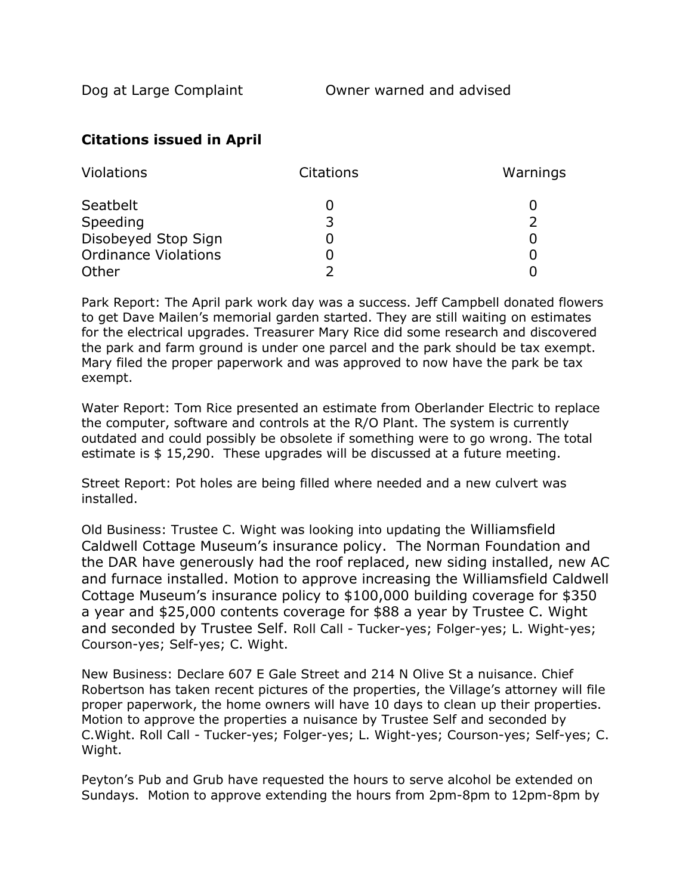## **Citations issued in April**

| Violations                  | <b>Citations</b> | Warnings |
|-----------------------------|------------------|----------|
| Seatbelt                    |                  |          |
| Speeding                    | 3                |          |
| Disobeyed Stop Sign         |                  |          |
| <b>Ordinance Violations</b> |                  |          |
| Other                       |                  |          |

 Park Report: The April park work day was a success. Jeff Campbell donated flowers to get Dave Mailen's memorial garden started. They are still waiting on estimates for the electrical upgrades. Treasurer Mary Rice did some research and discovered the park and farm ground is under one parcel and the park should be tax exempt. Mary filed the proper paperwork and was approved to now have the park be tax exempt.

 Water Report: Tom Rice presented an estimate from Oberlander Electric to replace the computer, software and controls at the R/O Plant. The system is currently outdated and could possibly be obsolete if something were to go wrong. The total estimate is \$ 15,290. These upgrades will be discussed at a future meeting.

 Street Report: Pot holes are being filled where needed and a new culvert was installed.

 Old Business: Trustee C. Wight was looking into updating the Williamsfield Caldwell Cottage Museum's insurance policy. The Norman Foundation and the DAR have generously had the roof replaced, new siding installed, new AC and furnace installed. Motion to approve increasing the Williamsfield Caldwell Cottage Museum's insurance policy to \$100,000 building coverage for \$350 a year and \$25,000 contents coverage for \$88 a year by Trustee C. Wight and seconded by Trustee Self. Roll Call - Tucker-yes; Folger-yes; L. Wight-yes; Courson-yes; Self-yes; C. Wight.

 New Business: Declare 607 E Gale Street and 214 N Olive St a nuisance. Chief Robertson has taken recent pictures of the properties, the Village's attorney will file proper paperwork, the home owners will have 10 days to clean up their properties. Motion to approve the properties a nuisance by Trustee Self and seconded by C.Wight. Roll Call - Tucker-yes; Folger-yes; L. Wight-yes; Courson-yes; Self-yes; C. Wight.

 Peyton's Pub and Grub have requested the hours to serve alcohol be extended on Sundays. Motion to approve extending the hours from 2pm-8pm to 12pm-8pm by